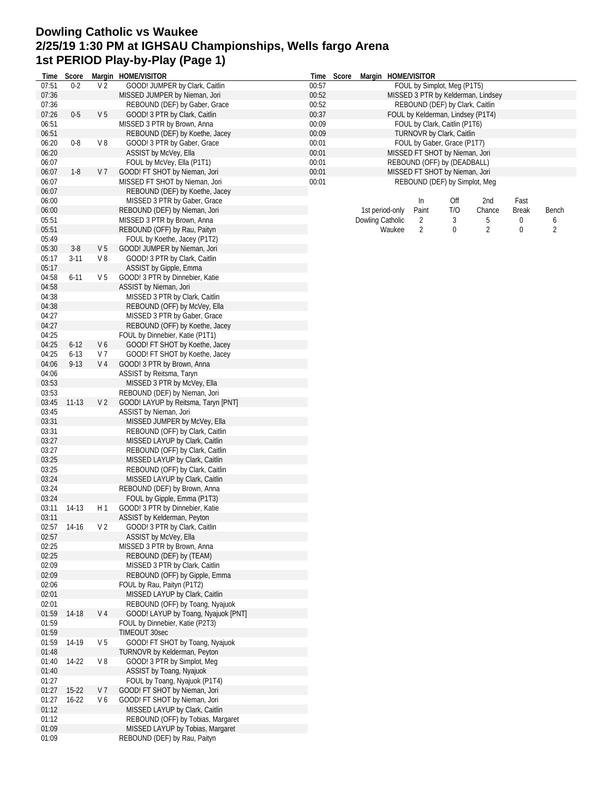## **Dowling Catholic vs Waukee 2/25/19 1:30 PM at IGHSAU Championships, Wells fargo Arena 1st PERIOD Play-by-Play (Page 1)**

| Time           | Score         |                      | Margin HOME/VISITOR                                                    |                | Time Score |                                                          |                 | Margin HOME/VISITOR               |     |                                    |       |       |  |  |
|----------------|---------------|----------------------|------------------------------------------------------------------------|----------------|------------|----------------------------------------------------------|-----------------|-----------------------------------|-----|------------------------------------|-------|-------|--|--|
| 07:51          | $0 - 2$       | V <sub>2</sub>       | GOOD! JUMPER by Clark, Caitlin                                         | 00:57          |            |                                                          |                 | FOUL by Simplot, Meg (P1T5)       |     |                                    |       |       |  |  |
| 07:36          |               |                      | MISSED JUMPER by Nieman, Jori                                          | 00:52          |            |                                                          |                 |                                   |     | MISSED 3 PTR by Kelderman, Lindsey |       |       |  |  |
| 07:36          |               |                      | REBOUND (DEF) by Gaber, Grace                                          | 00:52          |            |                                                          |                 | REBOUND (DEF) by Clark, Caitlin   |     |                                    |       |       |  |  |
| 07:26          | $0-5$         | V <sub>5</sub>       | GOOD! 3 PTR by Clark, Caitlin                                          | 00:37          |            |                                                          |                 | FOUL by Kelderman, Lindsey (P1T4) |     |                                    |       |       |  |  |
| 06:51          |               |                      | MISSED 3 PTR by Brown, Anna                                            | 00:09          |            |                                                          |                 | FOUL by Clark, Caitlin (P1T6)     |     |                                    |       |       |  |  |
| 06:51<br>06:20 | $0 - 8$       | V8                   | REBOUND (DEF) by Koethe, Jacey<br>GOOD! 3 PTR by Gaber, Grace          | 00:09<br>00:01 |            | TURNOVR by Clark, Caitlin<br>FOUL by Gaber, Grace (P1T7) |                 |                                   |     |                                    |       |       |  |  |
| 06:20          |               |                      | ASSIST by McVey, Ella                                                  | 00:01          |            |                                                          |                 | MISSED FT SHOT by Nieman, Jori    |     |                                    |       |       |  |  |
| 06:07          |               |                      | FOUL by McVey, Ella (P1T1)                                             | 00:01          |            |                                                          |                 | REBOUND (OFF) by (DEADBALL)       |     |                                    |       |       |  |  |
| 06:07          | $1-8$         | V 7                  | GOOD! FT SHOT by Nieman, Jori                                          | 00:01          |            |                                                          |                 | MISSED FT SHOT by Nieman, Jori    |     |                                    |       |       |  |  |
| 06:07          |               |                      | MISSED FT SHOT by Nieman, Jori                                         | 00:01          |            |                                                          |                 | REBOUND (DEF) by Simplot, Meg     |     |                                    |       |       |  |  |
| 06:07          |               |                      | REBOUND (DEF) by Koethe, Jacey                                         |                |            |                                                          |                 |                                   |     |                                    |       |       |  |  |
| 06:00          |               |                      | MISSED 3 PTR by Gaber, Grace                                           |                |            |                                                          |                 | In                                | Off | 2nd                                | Fast  |       |  |  |
| 06:00          |               |                      | REBOUND (DEF) by Nieman, Jori                                          |                |            |                                                          | 1st period-only | Paint                             | T/O | Chance                             | Break | Bench |  |  |
| 05:51          |               |                      | MISSED 3 PTR by Brown, Anna                                            |                |            | Dowling Catholic                                         |                 | $\overline{2}$                    | 3   | 5                                  | 0     | 6     |  |  |
| 05:51          |               |                      | REBOUND (OFF) by Rau, Paityn                                           |                |            |                                                          | Waukee          | $\overline{2}$                    | 0   | $\overline{2}$                     | 0     | 2     |  |  |
| 05:49          |               |                      | FOUL by Koethe, Jacey (P1T2)                                           |                |            |                                                          |                 |                                   |     |                                    |       |       |  |  |
| 05:30<br>05:17 | $3-8$<br>3-11 | V <sub>5</sub><br>V8 | GOOD! JUMPER by Nieman, Jori<br>GOOD! 3 PTR by Clark, Caitlin          |                |            |                                                          |                 |                                   |     |                                    |       |       |  |  |
| 05:17          |               |                      | ASSIST by Gipple, Emma                                                 |                |            |                                                          |                 |                                   |     |                                    |       |       |  |  |
| 04:58          | $6 - 11$      | V <sub>5</sub>       | GOOD! 3 PTR by Dinnebier, Katie                                        |                |            |                                                          |                 |                                   |     |                                    |       |       |  |  |
| 04:58          |               |                      | ASSIST by Nieman, Jori                                                 |                |            |                                                          |                 |                                   |     |                                    |       |       |  |  |
| 04:38          |               |                      | MISSED 3 PTR by Clark, Caitlin                                         |                |            |                                                          |                 |                                   |     |                                    |       |       |  |  |
| 04:38          |               |                      | REBOUND (OFF) by McVey, Ella                                           |                |            |                                                          |                 |                                   |     |                                    |       |       |  |  |
| 04:27          |               |                      | MISSED 3 PTR by Gaber, Grace                                           |                |            |                                                          |                 |                                   |     |                                    |       |       |  |  |
| 04:27          |               |                      | REBOUND (OFF) by Koethe, Jacey                                         |                |            |                                                          |                 |                                   |     |                                    |       |       |  |  |
| 04:25          |               |                      | FOUL by Dinnebier, Katie (P1T1)                                        |                |            |                                                          |                 |                                   |     |                                    |       |       |  |  |
| 04:25          | $6 - 12$      | V6                   | GOOD! FT SHOT by Koethe, Jacey                                         |                |            |                                                          |                 |                                   |     |                                    |       |       |  |  |
| 04:25          | $6 - 13$      | V 7                  | GOOD! FT SHOT by Koethe, Jacey                                         |                |            |                                                          |                 |                                   |     |                                    |       |       |  |  |
| 04:06          | $9 - 13$      | V <sub>4</sub>       | GOOD! 3 PTR by Brown, Anna                                             |                |            |                                                          |                 |                                   |     |                                    |       |       |  |  |
| 04:06<br>03:53 |               |                      | ASSIST by Reitsma, Taryn<br>MISSED 3 PTR by McVey, Ella                |                |            |                                                          |                 |                                   |     |                                    |       |       |  |  |
| 03:53          |               |                      | REBOUND (DEF) by Nieman, Jori                                          |                |            |                                                          |                 |                                   |     |                                    |       |       |  |  |
| 03:45          | $11 - 13$     | V <sub>2</sub>       | GOOD! LAYUP by Reitsma, Taryn [PNT]                                    |                |            |                                                          |                 |                                   |     |                                    |       |       |  |  |
| 03:45          |               |                      | ASSIST by Nieman, Jori                                                 |                |            |                                                          |                 |                                   |     |                                    |       |       |  |  |
| 03:31          |               |                      | MISSED JUMPER by McVey, Ella                                           |                |            |                                                          |                 |                                   |     |                                    |       |       |  |  |
| 03:31          |               |                      | REBOUND (OFF) by Clark, Caitlin                                        |                |            |                                                          |                 |                                   |     |                                    |       |       |  |  |
| 03:27          |               |                      | MISSED LAYUP by Clark, Caitlin                                         |                |            |                                                          |                 |                                   |     |                                    |       |       |  |  |
| 03:27          |               |                      | REBOUND (OFF) by Clark, Caitlin                                        |                |            |                                                          |                 |                                   |     |                                    |       |       |  |  |
| 03:25          |               |                      | MISSED LAYUP by Clark, Caitlin                                         |                |            |                                                          |                 |                                   |     |                                    |       |       |  |  |
| 03:25          |               |                      | REBOUND (OFF) by Clark, Caitlin                                        |                |            |                                                          |                 |                                   |     |                                    |       |       |  |  |
| 03:24          |               |                      | MISSED LAYUP by Clark, Caitlin                                         |                |            |                                                          |                 |                                   |     |                                    |       |       |  |  |
| 03:24<br>03:24 |               |                      | REBOUND (DEF) by Brown, Anna<br>FOUL by Gipple, Emma (P1T3)            |                |            |                                                          |                 |                                   |     |                                    |       |       |  |  |
|                | 03:11 14-13   | H 1                  | GOOD! 3 PTR by Dinnebier, Katie                                        |                |            |                                                          |                 |                                   |     |                                    |       |       |  |  |
| 03:11          |               |                      | ASSIST by Kelderman, Peyton                                            |                |            |                                                          |                 |                                   |     |                                    |       |       |  |  |
| 02:57          | 14-16         | V <sub>2</sub>       | GOOD! 3 PTR by Clark, Caitlin                                          |                |            |                                                          |                 |                                   |     |                                    |       |       |  |  |
| 02:57          |               |                      | ASSIST by McVey, Ella                                                  |                |            |                                                          |                 |                                   |     |                                    |       |       |  |  |
| 02:25          |               |                      | MISSED 3 PTR by Brown, Anna                                            |                |            |                                                          |                 |                                   |     |                                    |       |       |  |  |
| 02:25          |               |                      | REBOUND (DEF) by (TEAM)                                                |                |            |                                                          |                 |                                   |     |                                    |       |       |  |  |
| 02:09          |               |                      | MISSED 3 PTR by Clark, Caitlin                                         |                |            |                                                          |                 |                                   |     |                                    |       |       |  |  |
| 02:09          |               |                      | REBOUND (OFF) by Gipple, Emma                                          |                |            |                                                          |                 |                                   |     |                                    |       |       |  |  |
| 02:06          |               |                      | FOUL by Rau, Paityn (P1T2)                                             |                |            |                                                          |                 |                                   |     |                                    |       |       |  |  |
| 02:01<br>02:01 |               |                      | MISSED LAYUP by Clark, Caitlin                                         |                |            |                                                          |                 |                                   |     |                                    |       |       |  |  |
|                | 01:59 14-18   | V 4                  | REBOUND (OFF) by Toang, Nyajuok<br>GOOD! LAYUP by Toang, Nyajuok [PNT] |                |            |                                                          |                 |                                   |     |                                    |       |       |  |  |
| 01:59          |               |                      | FOUL by Dinnebier, Katie (P2T3)                                        |                |            |                                                          |                 |                                   |     |                                    |       |       |  |  |
| 01:59          |               |                      | TIMEOUT 30sec                                                          |                |            |                                                          |                 |                                   |     |                                    |       |       |  |  |
| 01:59          | 14-19         | V <sub>5</sub>       | GOOD! FT SHOT by Toang, Nyajuok                                        |                |            |                                                          |                 |                                   |     |                                    |       |       |  |  |
| 01:48          |               |                      | TURNOVR by Kelderman, Peyton                                           |                |            |                                                          |                 |                                   |     |                                    |       |       |  |  |
| 01:40          | 14-22         | V8                   | GOOD! 3 PTR by Simplot, Meg                                            |                |            |                                                          |                 |                                   |     |                                    |       |       |  |  |
| 01:40          |               |                      | ASSIST by Toang, Nyajuok                                               |                |            |                                                          |                 |                                   |     |                                    |       |       |  |  |
| 01:27          |               |                      | FOUL by Toang, Nyajuok (P1T4)                                          |                |            |                                                          |                 |                                   |     |                                    |       |       |  |  |
| 01:27          | $15-22$       | V <sub>7</sub>       | GOOD! FT SHOT by Nieman, Jori                                          |                |            |                                                          |                 |                                   |     |                                    |       |       |  |  |
| 01:27          | $16 - 22$     | V6                   | GOOD! FT SHOT by Nieman, Jori                                          |                |            |                                                          |                 |                                   |     |                                    |       |       |  |  |
| 01:12<br>01:12 |               |                      | MISSED LAYUP by Clark, Caitlin<br>REBOUND (OFF) by Tobias, Margaret    |                |            |                                                          |                 |                                   |     |                                    |       |       |  |  |
| 01:09          |               |                      | MISSED LAYUP by Tobias, Margaret                                       |                |            |                                                          |                 |                                   |     |                                    |       |       |  |  |
| 01:09          |               |                      | REBOUND (DEF) by Rau, Paityn                                           |                |            |                                                          |                 |                                   |     |                                    |       |       |  |  |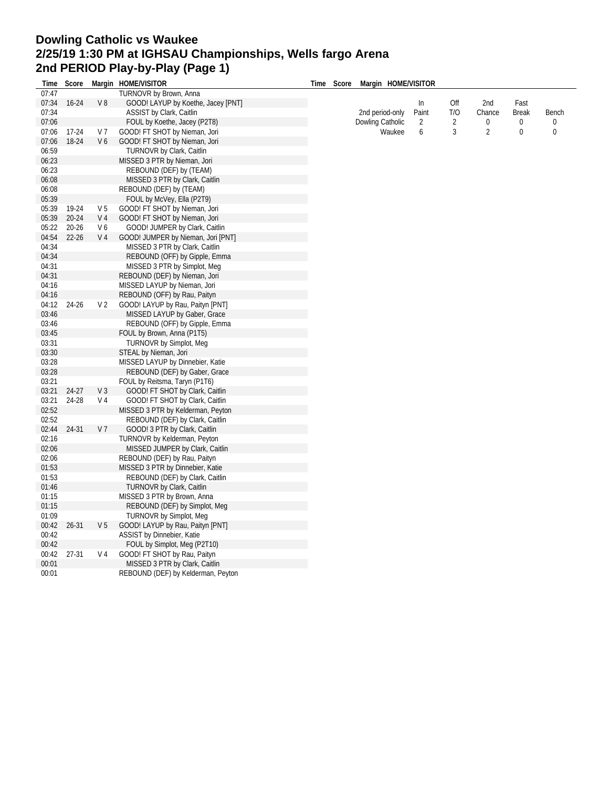#### **Dowling Catholic vs Waukee 2/25/19 1:30 PM at IGHSAU Championships, Wells fargo Arena 2nd PERIOD Play-by-Play (Page 1) Time Score Margin HOME/VISITOR**

| Time           | Score     |                | Margin HOME/VISITOR                                             | Time | Score | Margin HOME/VISITOR |       |                |                |              |       |
|----------------|-----------|----------------|-----------------------------------------------------------------|------|-------|---------------------|-------|----------------|----------------|--------------|-------|
| 07:47          |           |                | TURNOVR by Brown, Anna                                          |      |       |                     |       |                |                |              |       |
| 07:34          | $16 - 24$ | V8             | GOOD! LAYUP by Koethe, Jacey [PNT]                              |      |       |                     | In    | Off            | 2nd            | Fast         |       |
| 07:34          |           |                | <b>ASSIST by Clark, Caitlin</b>                                 |      |       | 2nd period-only     | Paint | T/O            | Chance         | <b>Break</b> | Bench |
| 07:06          |           |                | FOUL by Koethe, Jacey (P2T8)                                    |      |       | Dowling Catholic    | 2     | $\overline{2}$ | 0              | 0            | 0     |
| 07:06          | 17-24     | V <sub>7</sub> | GOOD! FT SHOT by Nieman, Jori                                   |      |       | Waukee              | 6     | 3              | $\overline{2}$ | $\bf{0}$     | 0     |
| 07:06          | 18-24     | V <sub>6</sub> | GOOD! FT SHOT by Nieman, Jori                                   |      |       |                     |       |                |                |              |       |
| 06:59          |           |                | <b>TURNOVR by Clark, Caitlin</b>                                |      |       |                     |       |                |                |              |       |
| 06:23          |           |                | MISSED 3 PTR by Nieman, Jori                                    |      |       |                     |       |                |                |              |       |
| 06:23          |           |                | REBOUND (DEF) by (TEAM)                                         |      |       |                     |       |                |                |              |       |
| 06:08          |           |                | MISSED 3 PTR by Clark, Caitlin                                  |      |       |                     |       |                |                |              |       |
| 06:08          |           |                | REBOUND (DEF) by (TEAM)                                         |      |       |                     |       |                |                |              |       |
| 05:39          |           |                | FOUL by McVey, Ella (P2T9)                                      |      |       |                     |       |                |                |              |       |
| 05:39          | 19-24     | V <sub>5</sub> | GOOD! FT SHOT by Nieman, Jori                                   |      |       |                     |       |                |                |              |       |
| 05:39          | $20 - 24$ | V <sub>4</sub> | GOOD! FT SHOT by Nieman, Jori                                   |      |       |                     |       |                |                |              |       |
| 05:22          | $20 - 26$ | V6             | GOOD! JUMPER by Clark, Caitlin                                  |      |       |                     |       |                |                |              |       |
| 04:54          | $22 - 26$ | V <sub>4</sub> | GOOD! JUMPER by Nieman, Jori [PNT]                              |      |       |                     |       |                |                |              |       |
| 04:34          |           |                | MISSED 3 PTR by Clark, Caitlin                                  |      |       |                     |       |                |                |              |       |
| 04:34          |           |                | REBOUND (OFF) by Gipple, Emma                                   |      |       |                     |       |                |                |              |       |
| 04:31          |           |                | MISSED 3 PTR by Simplot, Meg                                    |      |       |                     |       |                |                |              |       |
| 04:31          |           |                | REBOUND (DEF) by Nieman, Jori                                   |      |       |                     |       |                |                |              |       |
| 04:16          |           |                | MISSED LAYUP by Nieman, Jori                                    |      |       |                     |       |                |                |              |       |
| 04:16          |           |                | REBOUND (OFF) by Rau, Paityn                                    |      |       |                     |       |                |                |              |       |
| 04:12          | 24-26     | V <sub>2</sub> | GOOD! LAYUP by Rau, Paityn [PNT]                                |      |       |                     |       |                |                |              |       |
| 03:46          |           |                | MISSED LAYUP by Gaber, Grace                                    |      |       |                     |       |                |                |              |       |
| 03:46          |           |                | REBOUND (OFF) by Gipple, Emma                                   |      |       |                     |       |                |                |              |       |
| 03:45          |           |                | FOUL by Brown, Anna (P1T5)                                      |      |       |                     |       |                |                |              |       |
| 03:31          |           |                | TURNOVR by Simplot, Meg                                         |      |       |                     |       |                |                |              |       |
| 03:30          |           |                | STEAL by Nieman, Jori                                           |      |       |                     |       |                |                |              |       |
| 03:28          |           |                | MISSED LAYUP by Dinnebier, Katie                                |      |       |                     |       |                |                |              |       |
| 03:28          |           |                | REBOUND (DEF) by Gaber, Grace                                   |      |       |                     |       |                |                |              |       |
| 03:21          |           |                | FOUL by Reitsma, Taryn (P1T6)                                   |      |       |                     |       |                |                |              |       |
| 03:21          | $24-27$   | V <sub>3</sub> | GOOD! FT SHOT by Clark, Caitlin                                 |      |       |                     |       |                |                |              |       |
| 03:21          | 24-28     | V <sub>4</sub> | GOOD! FT SHOT by Clark, Caitlin                                 |      |       |                     |       |                |                |              |       |
| 02:52          |           |                | MISSED 3 PTR by Kelderman, Peyton                               |      |       |                     |       |                |                |              |       |
| 02:52          |           |                | REBOUND (DEF) by Clark, Caitlin                                 |      |       |                     |       |                |                |              |       |
| 02:44          | 24-31     | V <sub>7</sub> | GOOD! 3 PTR by Clark, Caitlin                                   |      |       |                     |       |                |                |              |       |
| 02:16          |           |                |                                                                 |      |       |                     |       |                |                |              |       |
| 02:06          |           |                | TURNOVR by Kelderman, Peyton<br>MISSED JUMPER by Clark, Caitlin |      |       |                     |       |                |                |              |       |
| 02:06          |           |                | REBOUND (DEF) by Rau, Paityn                                    |      |       |                     |       |                |                |              |       |
|                |           |                |                                                                 |      |       |                     |       |                |                |              |       |
| 01:53          |           |                | MISSED 3 PTR by Dinnebier, Katie                                |      |       |                     |       |                |                |              |       |
| 01:53          |           |                | REBOUND (DEF) by Clark, Caitlin                                 |      |       |                     |       |                |                |              |       |
| 01:46<br>01:15 |           |                | <b>TURNOVR by Clark, Caitlin</b><br>MISSED 3 PTR by Brown, Anna |      |       |                     |       |                |                |              |       |
|                |           |                |                                                                 |      |       |                     |       |                |                |              |       |
| 01:15          |           |                | REBOUND (DEF) by Simplot, Meg                                   |      |       |                     |       |                |                |              |       |
| 01:09          |           |                | <b>TURNOVR by Simplot, Meg.</b>                                 |      |       |                     |       |                |                |              |       |
| 00:42          | $26 - 31$ | V <sub>5</sub> | GOOD! LAYUP by Rau, Paityn [PNT]                                |      |       |                     |       |                |                |              |       |
| 00:42          |           |                | ASSIST by Dinnebier, Katie                                      |      |       |                     |       |                |                |              |       |
| 00:42          |           |                | FOUL by Simplot, Meg (P2T10)                                    |      |       |                     |       |                |                |              |       |
| 00:42          | 27-31     | V <sub>4</sub> | GOOD! FT SHOT by Rau, Paityn                                    |      |       |                     |       |                |                |              |       |
| 00:01          |           |                | MISSED 3 PTR by Clark, Caitlin                                  |      |       |                     |       |                |                |              |       |
| 00:01          |           |                | REBOUND (DEF) by Kelderman, Peyton                              |      |       |                     |       |                |                |              |       |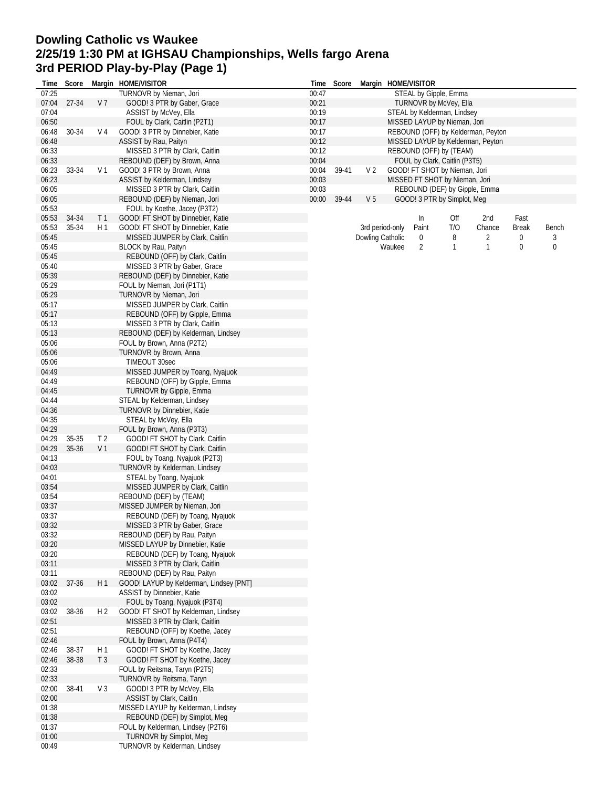# **Dowling Catholic vs Waukee 2/25/19 1:30 PM at IGHSAU Championships, Wells fargo Arena 3rd PERIOD Play-by-Play (Page 1)**

| Time  | Score |                | Margin HOME/VISITOR                     |       |       |                |                  | Time Score Margin HOME/VISITOR |                                |                                    |              |             |
|-------|-------|----------------|-----------------------------------------|-------|-------|----------------|------------------|--------------------------------|--------------------------------|------------------------------------|--------------|-------------|
| 07:25 |       |                | TURNOVR by Nieman, Jori                 | 00:47 |       |                |                  |                                | STEAL by Gipple, Emma          |                                    |              |             |
| 07:04 | 27-34 | V <sub>7</sub> | GOOD! 3 PTR by Gaber, Grace             | 00:21 |       |                |                  |                                | TURNOVR by McVey, Ella         |                                    |              |             |
| 07:04 |       |                | ASSIST by McVey, Ella                   | 00:19 |       |                |                  |                                | STEAL by Kelderman, Lindsey    |                                    |              |             |
| 06:50 |       |                | FOUL by Clark, Caitlin (P2T1)           | 00:17 |       |                |                  |                                | MISSED LAYUP by Nieman, Jori   |                                    |              |             |
| 06:48 | 30-34 | V 4            | GOOD! 3 PTR by Dinnebier, Katie         | 00:17 |       |                |                  |                                |                                | REBOUND (OFF) by Kelderman, Peyton |              |             |
| 06:48 |       |                | ASSIST by Rau, Paityn                   | 00:12 |       |                |                  |                                |                                | MISSED LAYUP by Kelderman, Peyton  |              |             |
| 06:33 |       |                | MISSED 3 PTR by Clark, Caitlin          | 00:12 |       |                |                  |                                | REBOUND (OFF) by (TEAM)        |                                    |              |             |
| 06:33 |       |                | REBOUND (DEF) by Brown, Anna            | 00:04 |       |                |                  |                                | FOUL by Clark, Caitlin (P3T5)  |                                    |              |             |
| 06:23 | 33-34 | V <sub>1</sub> | GOOD! 3 PTR by Brown, Anna              | 00:04 | 39-41 | V <sub>2</sub> |                  |                                | GOOD! FT SHOT by Nieman, Jori  |                                    |              |             |
| 06:23 |       |                | ASSIST by Kelderman, Lindsey            | 00:03 |       |                |                  |                                | MISSED FT SHOT by Nieman, Jori |                                    |              |             |
| 06:05 |       |                | MISSED 3 PTR by Clark, Caitlin          | 00:03 |       |                |                  |                                | REBOUND (DEF) by Gipple, Emma  |                                    |              |             |
| 06:05 |       |                | REBOUND (DEF) by Nieman, Jori           | 00:00 | 39-44 | V <sub>5</sub> |                  |                                | GOOD! 3 PTR by Simplot, Meg    |                                    |              |             |
| 05:53 |       |                | FOUL by Koethe, Jacey (P3T2)            |       |       |                |                  |                                |                                |                                    |              |             |
| 05:53 | 34-34 | T <sub>1</sub> | GOOD! FT SHOT by Dinnebier, Katie       |       |       |                |                  | In                             | Off                            | 2nd                                | Fast         |             |
| 05:53 | 35-34 | H <sub>1</sub> | GOOD! FT SHOT by Dinnebier, Katie       |       |       |                | 3rd period-only  | Paint                          | T/O                            | Chance                             | <b>Break</b> | Bench       |
| 05:45 |       |                | MISSED JUMPER by Clark, Caitlin         |       |       |                | Dowling Catholic | 0                              | 8                              | 2                                  | 0            | 3           |
| 05:45 |       |                | BLOCK by Rau, Paityn                    |       |       |                | Waukee           | 2                              | $\mathbf{1}$                   | $\mathbf{1}$                       | 0            | $\mathbf 0$ |
| 05:45 |       |                | REBOUND (OFF) by Clark, Caitlin         |       |       |                |                  |                                |                                |                                    |              |             |
| 05:40 |       |                | MISSED 3 PTR by Gaber, Grace            |       |       |                |                  |                                |                                |                                    |              |             |
| 05:39 |       |                | REBOUND (DEF) by Dinnebier, Katie       |       |       |                |                  |                                |                                |                                    |              |             |
| 05:29 |       |                | FOUL by Nieman, Jori (P1T1)             |       |       |                |                  |                                |                                |                                    |              |             |
| 05:29 |       |                | TURNOVR by Nieman, Jori                 |       |       |                |                  |                                |                                |                                    |              |             |
| 05:17 |       |                | MISSED JUMPER by Clark, Caitlin         |       |       |                |                  |                                |                                |                                    |              |             |
| 05:17 |       |                | REBOUND (OFF) by Gipple, Emma           |       |       |                |                  |                                |                                |                                    |              |             |
| 05:13 |       |                | MISSED 3 PTR by Clark, Caitlin          |       |       |                |                  |                                |                                |                                    |              |             |
| 05:13 |       |                | REBOUND (DEF) by Kelderman, Lindsey     |       |       |                |                  |                                |                                |                                    |              |             |
| 05:06 |       |                | FOUL by Brown, Anna (P2T2)              |       |       |                |                  |                                |                                |                                    |              |             |
| 05:06 |       |                | TURNOVR by Brown, Anna                  |       |       |                |                  |                                |                                |                                    |              |             |
| 05:06 |       |                | TIMEOUT 30sec                           |       |       |                |                  |                                |                                |                                    |              |             |
| 04:49 |       |                | MISSED JUMPER by Toang, Nyajuok         |       |       |                |                  |                                |                                |                                    |              |             |
| 04:49 |       |                | REBOUND (OFF) by Gipple, Emma           |       |       |                |                  |                                |                                |                                    |              |             |
| 04:45 |       |                | <b>TURNOVR by Gipple, Emma</b>          |       |       |                |                  |                                |                                |                                    |              |             |
| 04:44 |       |                | STEAL by Kelderman, Lindsey             |       |       |                |                  |                                |                                |                                    |              |             |
| 04:36 |       |                | <b>TURNOVR by Dinnebier, Katie</b>      |       |       |                |                  |                                |                                |                                    |              |             |
| 04:35 |       |                | STEAL by McVey, Ella                    |       |       |                |                  |                                |                                |                                    |              |             |
| 04:29 |       |                | FOUL by Brown, Anna (P3T3)              |       |       |                |                  |                                |                                |                                    |              |             |
| 04:29 | 35-35 | T <sub>2</sub> | GOOD! FT SHOT by Clark, Caitlin         |       |       |                |                  |                                |                                |                                    |              |             |
| 04:29 | 35-36 | V <sub>1</sub> | GOOD! FT SHOT by Clark, Caitlin         |       |       |                |                  |                                |                                |                                    |              |             |
| 04:13 |       |                | FOUL by Toang, Nyajuok (P2T3)           |       |       |                |                  |                                |                                |                                    |              |             |
| 04:03 |       |                | TURNOVR by Kelderman, Lindsey           |       |       |                |                  |                                |                                |                                    |              |             |
| 04:01 |       |                | STEAL by Toang, Nyajuok                 |       |       |                |                  |                                |                                |                                    |              |             |
| 03:54 |       |                | MISSED JUMPER by Clark, Caitlin         |       |       |                |                  |                                |                                |                                    |              |             |
| 03:54 |       |                | REBOUND (DEF) by (TEAM)                 |       |       |                |                  |                                |                                |                                    |              |             |
| 03:37 |       |                | MISSED JUMPER by Nieman, Jori           |       |       |                |                  |                                |                                |                                    |              |             |
| 03:37 |       |                | REBOUND (DEF) by Toang, Nyajuok         |       |       |                |                  |                                |                                |                                    |              |             |
| 03:32 |       |                | MISSED 3 PTR by Gaber, Grace            |       |       |                |                  |                                |                                |                                    |              |             |
| 03:32 |       |                | REBOUND (DEF) by Rau, Paityn            |       |       |                |                  |                                |                                |                                    |              |             |
| 03:20 |       |                | MISSED LAYUP by Dinnebier, Katie        |       |       |                |                  |                                |                                |                                    |              |             |
| 03:20 |       |                | REBOUND (DEF) by Toang, Nyajuok         |       |       |                |                  |                                |                                |                                    |              |             |
| 03:11 |       |                | MISSED 3 PTR by Clark, Caitlin          |       |       |                |                  |                                |                                |                                    |              |             |
| 03:11 |       |                | REBOUND (DEF) by Rau, Paityn            |       |       |                |                  |                                |                                |                                    |              |             |
| 03:02 | 37-36 | H 1            | GOOD! LAYUP by Kelderman, Lindsey [PNT] |       |       |                |                  |                                |                                |                                    |              |             |
| 03:02 |       |                | ASSIST by Dinnebier, Katie              |       |       |                |                  |                                |                                |                                    |              |             |
| 03:02 |       |                | FOUL by Toang, Nyajuok (P3T4)           |       |       |                |                  |                                |                                |                                    |              |             |
| 03:02 | 38-36 | H <sub>2</sub> | GOOD! FT SHOT by Kelderman, Lindsey     |       |       |                |                  |                                |                                |                                    |              |             |
| 02:51 |       |                | MISSED 3 PTR by Clark, Caitlin          |       |       |                |                  |                                |                                |                                    |              |             |
| 02:51 |       |                | REBOUND (OFF) by Koethe, Jacey          |       |       |                |                  |                                |                                |                                    |              |             |
| 02:46 |       |                | FOUL by Brown, Anna (P4T4)              |       |       |                |                  |                                |                                |                                    |              |             |
| 02:46 | 38-37 | H1             | GOOD! FT SHOT by Koethe, Jacey          |       |       |                |                  |                                |                                |                                    |              |             |
| 02:46 | 38-38 | T <sub>3</sub> | GOOD! FT SHOT by Koethe, Jacey          |       |       |                |                  |                                |                                |                                    |              |             |
| 02:33 |       |                | FOUL by Reitsma, Taryn (P2T5)           |       |       |                |                  |                                |                                |                                    |              |             |
| 02:33 |       |                | TURNOVR by Reitsma, Taryn               |       |       |                |                  |                                |                                |                                    |              |             |
| 02:00 | 38-41 | $V_3$          | GOOD! 3 PTR by McVey, Ella              |       |       |                |                  |                                |                                |                                    |              |             |
| 02:00 |       |                | ASSIST by Clark, Caitlin                |       |       |                |                  |                                |                                |                                    |              |             |
| 01:38 |       |                | MISSED LAYUP by Kelderman, Lindsey      |       |       |                |                  |                                |                                |                                    |              |             |
| 01:38 |       |                | REBOUND (DEF) by Simplot, Meg           |       |       |                |                  |                                |                                |                                    |              |             |
| 01:37 |       |                | FOUL by Kelderman, Lindsey (P2T6)       |       |       |                |                  |                                |                                |                                    |              |             |
| 01:00 |       |                | <b>TURNOVR by Simplot, Meg</b>          |       |       |                |                  |                                |                                |                                    |              |             |
| 00:49 |       |                | TURNOVR by Kelderman, Lindsey           |       |       |                |                  |                                |                                |                                    |              |             |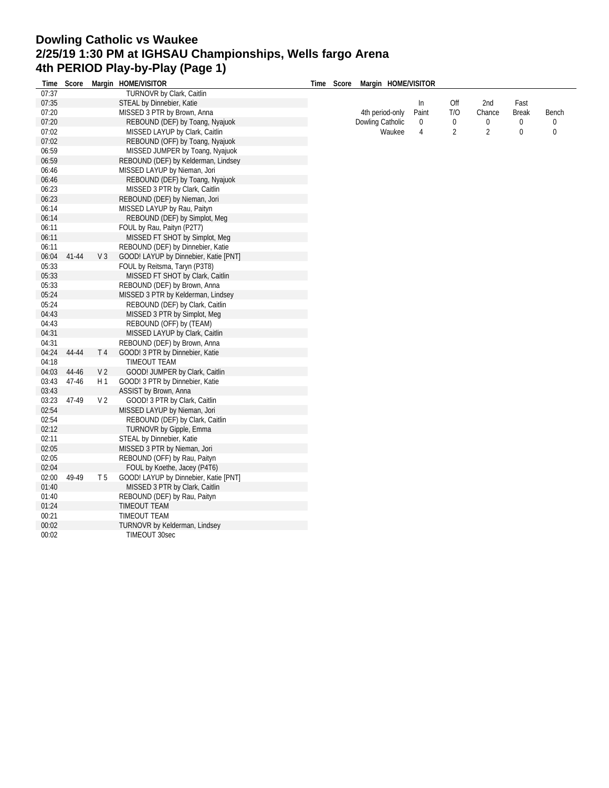## **Dowling Catholic vs Waukee 2/25/19 1:30 PM at IGHSAU Championships, Wells fargo Arena 4th PERIOD Play-by-Play (Page 1) Time Score Margin HOME/VISITOR**

| Time  | Score |                | Margin HOME/VISITOR                   | Score<br>Time | Margin HOME/VISITOR |       |                |                |              |       |
|-------|-------|----------------|---------------------------------------|---------------|---------------------|-------|----------------|----------------|--------------|-------|
| 07:37 |       |                | TURNOVR by Clark, Caitlin             |               |                     |       |                |                |              |       |
| 07:35 |       |                | STEAL by Dinnebier, Katie             |               |                     | In.   | Off            | 2nd            | Fast         |       |
| 07:20 |       |                | MISSED 3 PTR by Brown, Anna           |               | 4th period-only     | Paint | T/O            | Chance         | <b>Break</b> | Bench |
| 07:20 |       |                | REBOUND (DEF) by Toang, Nyajuok       |               | Dowling Catholic    | 0     | 0              | 0              | 0            | 0     |
| 07:02 |       |                | MISSED LAYUP by Clark, Caitlin        |               | Waukee              | 4     | $\overline{2}$ | $\overline{2}$ | 0            | 0     |
| 07:02 |       |                | REBOUND (OFF) by Toang, Nyajuok       |               |                     |       |                |                |              |       |
| 06:59 |       |                | MISSED JUMPER by Toang, Nyajuok       |               |                     |       |                |                |              |       |
| 06:59 |       |                | REBOUND (DEF) by Kelderman, Lindsey   |               |                     |       |                |                |              |       |
| 06:46 |       |                | MISSED LAYUP by Nieman, Jori          |               |                     |       |                |                |              |       |
| 06:46 |       |                | REBOUND (DEF) by Toang, Nyajuok       |               |                     |       |                |                |              |       |
| 06:23 |       |                | MISSED 3 PTR by Clark, Caitlin        |               |                     |       |                |                |              |       |
| 06:23 |       |                | REBOUND (DEF) by Nieman, Jori         |               |                     |       |                |                |              |       |
| 06:14 |       |                | MISSED LAYUP by Rau, Paityn           |               |                     |       |                |                |              |       |
| 06:14 |       |                | REBOUND (DEF) by Simplot, Meg         |               |                     |       |                |                |              |       |
| 06:11 |       |                |                                       |               |                     |       |                |                |              |       |
|       |       |                | FOUL by Rau, Paityn (P2T7)            |               |                     |       |                |                |              |       |
| 06:11 |       |                | MISSED FT SHOT by Simplot, Meg        |               |                     |       |                |                |              |       |
| 06:11 |       |                | REBOUND (DEF) by Dinnebier, Katie     |               |                     |       |                |                |              |       |
| 06:04 | 41-44 | V <sub>3</sub> | GOOD! LAYUP by Dinnebier, Katie [PNT] |               |                     |       |                |                |              |       |
| 05:33 |       |                | FOUL by Reitsma, Taryn (P3T8)         |               |                     |       |                |                |              |       |
| 05:33 |       |                | MISSED FT SHOT by Clark, Caitlin      |               |                     |       |                |                |              |       |
| 05:33 |       |                | REBOUND (DEF) by Brown, Anna          |               |                     |       |                |                |              |       |
| 05:24 |       |                | MISSED 3 PTR by Kelderman, Lindsey    |               |                     |       |                |                |              |       |
| 05:24 |       |                | REBOUND (DEF) by Clark, Caitlin       |               |                     |       |                |                |              |       |
| 04:43 |       |                | MISSED 3 PTR by Simplot, Meg          |               |                     |       |                |                |              |       |
| 04:43 |       |                | REBOUND (OFF) by (TEAM)               |               |                     |       |                |                |              |       |
| 04:31 |       |                | MISSED LAYUP by Clark, Caitlin        |               |                     |       |                |                |              |       |
| 04:31 |       |                | REBOUND (DEF) by Brown, Anna          |               |                     |       |                |                |              |       |
| 04:24 | 44-44 | T <sub>4</sub> | GOOD! 3 PTR by Dinnebier, Katie       |               |                     |       |                |                |              |       |
| 04:18 |       |                | <b>TIMEOUT TEAM</b>                   |               |                     |       |                |                |              |       |
| 04:03 | 44-46 | V <sub>2</sub> | GOOD! JUMPER by Clark, Caitlin        |               |                     |       |                |                |              |       |
| 03:43 | 47-46 | H1             | GOOD! 3 PTR by Dinnebier, Katie       |               |                     |       |                |                |              |       |
| 03:43 |       |                | ASSIST by Brown, Anna                 |               |                     |       |                |                |              |       |
| 03:23 | 47-49 | V <sub>2</sub> | GOOD! 3 PTR by Clark, Caitlin         |               |                     |       |                |                |              |       |
| 02:54 |       |                | MISSED LAYUP by Nieman, Jori          |               |                     |       |                |                |              |       |
| 02:54 |       |                | REBOUND (DEF) by Clark, Caitlin       |               |                     |       |                |                |              |       |
| 02:12 |       |                | <b>TURNOVR by Gipple, Emma</b>        |               |                     |       |                |                |              |       |
| 02:11 |       |                | STEAL by Dinnebier, Katie             |               |                     |       |                |                |              |       |
| 02:05 |       |                | MISSED 3 PTR by Nieman, Jori          |               |                     |       |                |                |              |       |
| 02:05 |       |                | REBOUND (OFF) by Rau, Paityn          |               |                     |       |                |                |              |       |
| 02:04 |       |                | FOUL by Koethe, Jacey (P4T6)          |               |                     |       |                |                |              |       |
| 02:00 | 49-49 | T <sub>5</sub> | GOOD! LAYUP by Dinnebier, Katie [PNT] |               |                     |       |                |                |              |       |
| 01:40 |       |                | MISSED 3 PTR by Clark, Caitlin        |               |                     |       |                |                |              |       |
| 01:40 |       |                | REBOUND (DEF) by Rau, Paityn          |               |                     |       |                |                |              |       |
| 01:24 |       |                | <b>TIMEOUT TEAM</b>                   |               |                     |       |                |                |              |       |
| 00:21 |       |                | TIMEOUT TEAM                          |               |                     |       |                |                |              |       |
| 00:02 |       |                | <b>TURNOVR by Kelderman, Lindsey</b>  |               |                     |       |                |                |              |       |
| 00:02 |       |                | <b>TIMEOUT 30sec</b>                  |               |                     |       |                |                |              |       |
|       |       |                |                                       |               |                     |       |                |                |              |       |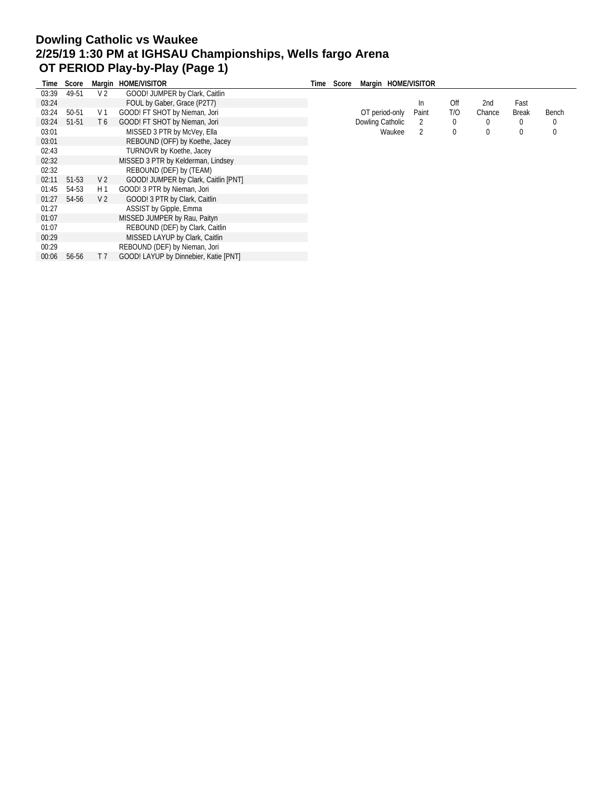# **Dowling Catholic vs Waukee 2/25/19 1:30 PM at IGHSAU Championships, Wells fargo Arena OT PERIOD Play-by-Play (Page 1)**

| Time  | Score |                | Margin HOME/VISITOR                   | Time | Score | Margin HOME/VISITOR |       |     |        |              |       |
|-------|-------|----------------|---------------------------------------|------|-------|---------------------|-------|-----|--------|--------------|-------|
| 03:39 | 49-51 | V <sub>2</sub> | GOOD! JUMPER by Clark, Caitlin        |      |       |                     |       |     |        |              |       |
| 03:24 |       |                | FOUL by Gaber, Grace (P2T7)           |      |       |                     | In.   | Off | 2nd    | Fast         |       |
| 03:24 | 50-51 | V 1            | GOOD! FT SHOT by Nieman, Jori         |      |       | OT period-only      | Paint | T/O | Chance | <b>Break</b> | Bench |
| 03:24 | 51-51 | T6             | GOOD! FT SHOT by Nieman, Jori         |      |       | Dowling Catholic    | 2     | 0   |        | 0            | 0     |
| 03:01 |       |                | MISSED 3 PTR by McVey, Ella           |      |       | Waukee              | 2     | 0   |        | 0            | 0     |
| 03:01 |       |                | REBOUND (OFF) by Koethe, Jacey        |      |       |                     |       |     |        |              |       |
| 02:43 |       |                | TURNOVR by Koethe, Jacey              |      |       |                     |       |     |        |              |       |
| 02:32 |       |                | MISSED 3 PTR by Kelderman, Lindsey    |      |       |                     |       |     |        |              |       |
| 02:32 |       |                | REBOUND (DEF) by (TEAM)               |      |       |                     |       |     |        |              |       |
| 02:11 | 51-53 | V 2            | GOOD! JUMPER by Clark, Caitlin [PNT]  |      |       |                     |       |     |        |              |       |
| 01:45 | 54-53 | H 1            | GOOD! 3 PTR by Nieman, Jori           |      |       |                     |       |     |        |              |       |
| 01:27 | 54-56 | V <sub>2</sub> | GOOD! 3 PTR by Clark, Caitlin         |      |       |                     |       |     |        |              |       |
| 01:27 |       |                | ASSIST by Gipple, Emma                |      |       |                     |       |     |        |              |       |
| 01:07 |       |                | MISSED JUMPER by Rau, Paityn          |      |       |                     |       |     |        |              |       |
| 01:07 |       |                | REBOUND (DEF) by Clark, Caitlin       |      |       |                     |       |     |        |              |       |
| 00:29 |       |                | MISSED LAYUP by Clark, Caitlin        |      |       |                     |       |     |        |              |       |
| 00:29 |       |                | REBOUND (DEF) by Nieman, Jori         |      |       |                     |       |     |        |              |       |
| 00:06 | 56-56 | T 7            | GOOD! LAYUP by Dinnebier, Katie [PNT] |      |       |                     |       |     |        |              |       |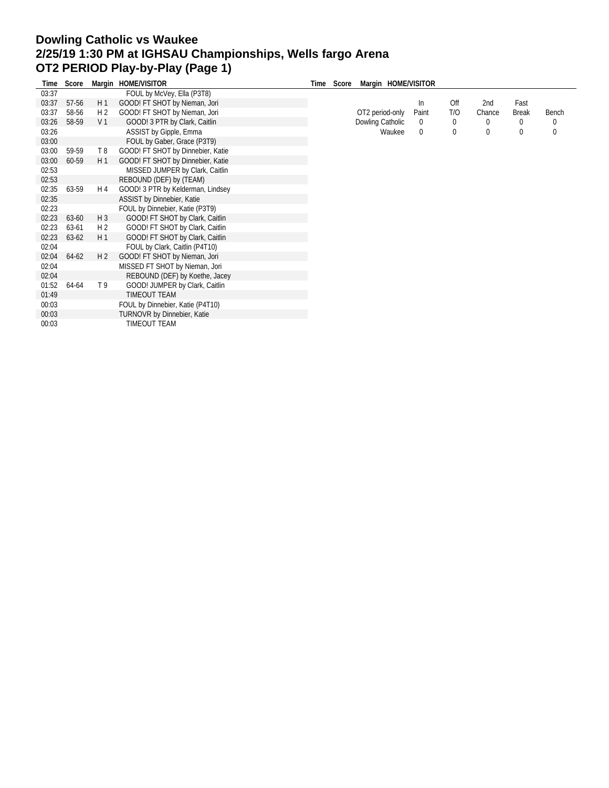#### **Dowling Catholic vs Waukee 2/25/19 1:30 PM at IGHSAU Championships, Wells fargo Arena OT2 PERIOD Play-by-Play (Page 1) Time Score Margin HOME/VISITOR Time Score Margin HOME/VISITOR**

| l ime | Score     |                | Margin HOME/VISITOR                | Time | Score | Margin HOME/VISITOR |             |              |          |              |          |
|-------|-----------|----------------|------------------------------------|------|-------|---------------------|-------------|--------------|----------|--------------|----------|
| 03:37 |           |                | FOUL by McVey, Ella (P3T8)         |      |       |                     |             |              |          |              |          |
| 03:37 | 57-56     | H1             | GOOD! FT SHOT by Nieman, Jori      |      |       |                     | In.         | Off          | 2nd      | Fast         |          |
| 03:37 | 58-56     | H 2            | GOOD! FT SHOT by Nieman, Jori      |      |       | OT2 period-only     | Paint       | T/O          | Chance   | <b>Break</b> | Bench    |
| 03:26 | 58-59     | V <sub>1</sub> | GOOD! 3 PTR by Clark, Caitlin      |      |       | Dowling Catholic    | $\mathbf 0$ | $\mathbf{0}$ | $\Omega$ | $\bf{0}$     | $\bf{0}$ |
| 03:26 |           |                | ASSIST by Gipple, Emma             |      |       | Waukee              | $\mathbf 0$ | 0            | 0        | $\mathbf{0}$ | 0        |
| 03:00 |           |                | FOUL by Gaber, Grace (P3T9)        |      |       |                     |             |              |          |              |          |
| 03:00 | 59-59     | T8             | GOOD! FT SHOT by Dinnebier, Katie  |      |       |                     |             |              |          |              |          |
| 03:00 | 60-59     | H1             | GOOD! FT SHOT by Dinnebier, Katie  |      |       |                     |             |              |          |              |          |
| 02:53 |           |                | MISSED JUMPER by Clark, Caitlin    |      |       |                     |             |              |          |              |          |
| 02:53 |           |                | REBOUND (DEF) by (TEAM)            |      |       |                     |             |              |          |              |          |
| 02:35 | 63-59     | H 4            | GOOD! 3 PTR by Kelderman, Lindsey  |      |       |                     |             |              |          |              |          |
| 02:35 |           |                | ASSIST by Dinnebier, Katie         |      |       |                     |             |              |          |              |          |
| 02:23 |           |                | FOUL by Dinnebier, Katie (P3T9)    |      |       |                     |             |              |          |              |          |
| 02:23 | 63-60     | $H_3$          | GOOD! FT SHOT by Clark, Caitlin    |      |       |                     |             |              |          |              |          |
| 02:23 | 63-61     | H 2            | GOOD! FT SHOT by Clark, Caitlin    |      |       |                     |             |              |          |              |          |
| 02:23 | $63 - 62$ | H1             | GOOD! FT SHOT by Clark, Caitlin    |      |       |                     |             |              |          |              |          |
| 02:04 |           |                | FOUL by Clark, Caitlin (P4T10)     |      |       |                     |             |              |          |              |          |
| 02:04 | 64-62     | H <sub>2</sub> | GOOD! FT SHOT by Nieman, Jori      |      |       |                     |             |              |          |              |          |
| 02:04 |           |                | MISSED FT SHOT by Nieman, Jori     |      |       |                     |             |              |          |              |          |
| 02:04 |           |                | REBOUND (DEF) by Koethe, Jacey     |      |       |                     |             |              |          |              |          |
| 01:52 | 64-64     | T 9            | GOOD! JUMPER by Clark, Caitlin     |      |       |                     |             |              |          |              |          |
| 01:49 |           |                | <b>TIMEOUT TEAM</b>                |      |       |                     |             |              |          |              |          |
| 00:03 |           |                | FOUL by Dinnebier, Katie (P4T10)   |      |       |                     |             |              |          |              |          |
| 00:03 |           |                | <b>TURNOVR by Dinnebier, Katie</b> |      |       |                     |             |              |          |              |          |
| 00:03 |           |                | TIMEOUT TEAM                       |      |       |                     |             |              |          |              |          |